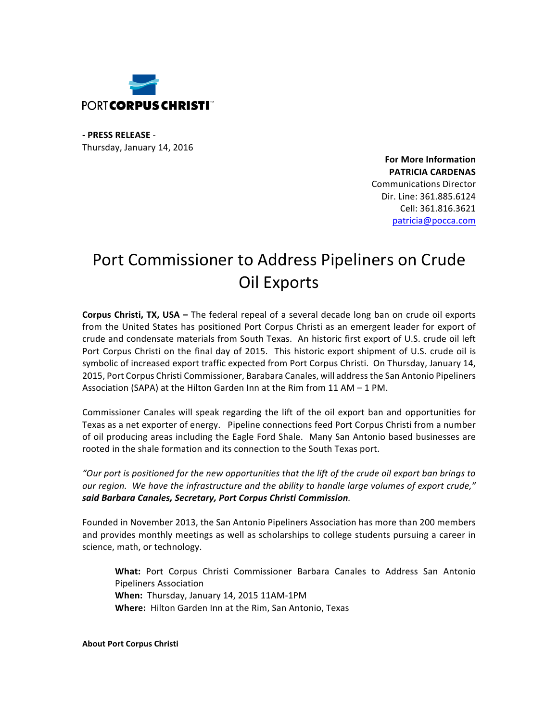

**- PRESS RELEASE** - Thursday, January 14, 2016

> **For More Information PATRICIA CARDENAS** Communications Director Dir. Line: 361.885.6124 Cell: 361.816.3621 patricia@pocca.com

## Port Commissioner to Address Pipeliners on Crude **Oil Exports**

**Corpus Christi, TX, USA** – The federal repeal of a several decade long ban on crude oil exports from the United States has positioned Port Corpus Christi as an emergent leader for export of crude and condensate materials from South Texas. An historic first export of U.S. crude oil left Port Corpus Christi on the final day of 2015. This historic export shipment of U.S. crude oil is symbolic of increased export traffic expected from Port Corpus Christi. On Thursday, January 14, 2015, Port Corpus Christi Commissioner, Barabara Canales, will address the San Antonio Pipeliners Association (SAPA) at the Hilton Garden Inn at the Rim from 11 AM – 1 PM.

Commissioner Canales will speak regarding the lift of the oil export ban and opportunities for Texas as a net exporter of energy. Pipeline connections feed Port Corpus Christi from a number of oil producing areas including the Eagle Ford Shale. Many San Antonio based businesses are rooted in the shale formation and its connection to the South Texas port.

"Our port is positioned for the new opportunities that the lift of the crude oil export ban brings to our region. We have the infrastructure and the ability to handle large volumes of export crude," *said Barbara Canales, Secretary, Port Corpus Christi Commission.*

Founded in November 2013, the San Antonio Pipeliners Association has more than 200 members and provides monthly meetings as well as scholarships to college students pursuing a career in science, math, or technology.

What: Port Corpus Christi Commissioner Barbara Canales to Address San Antonio Pipeliners Association When: Thursday, January 14, 2015 11AM-1PM **Where:** Hilton Garden Inn at the Rim, San Antonio, Texas

**About Port Corpus Christi**